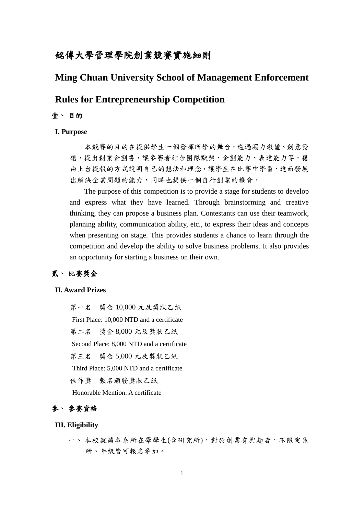## 銘傳大學管理學院創業競賽實施細則

## **Ming Chuan University School of Management Enforcement**

## **Rules for Entrepreneurship Competition**

### 壹、 目的

#### **I. Purpose**

本競賽的目的在提供學生一個發揮所學的舞台,透過腦力激盪、創意發 想,提出創業企劃書,讓參賽者結合團隊默契、企劃能力、表達能力等,藉 由上台提報的方式說明自己的想法和理念,讓學生在比賽中學習、進而發展 出解決企業問題的能力,同時也提供一個自行創業的機會。

The purpose of this competition is to provide a stage for students to develop and express what they have learned. Through brainstorming and creative thinking, they can propose a business plan. Contestants can use their teamwork, planning ability, communication ability, etc., to express their ideas and concepts when presenting on stage. This provides students a chance to learn through the competition and develop the ability to solve business problems. It also provides an opportunity for starting a business on their own.

### 貳、 比賽獎金

#### **II. Award Prizes**

 第一名 獎金 10,000 元及獎狀乙紙 First Place: 10,000 NTD and a certificate 第二名 獎金 8,000 元及獎狀乙紙 Second Place: 8,000 NTD and a certificate 第三名 獎金 5,000 元及獎狀乙紙 Third Place: 5,000 NTD and a certificate 佳作獎 數名頒發獎狀乙紙 Honorable Mention: A certificate

## 參、 參賽資格

### **III. Eligibility**

一、 本校就讀各系所在學學生(含研究所),對於創業有興趣者,不限定系 所、年級皆可報名參加。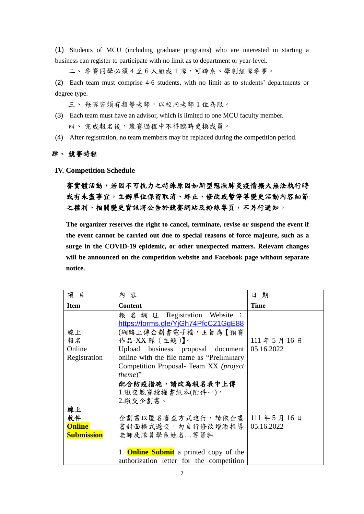(1) Students of MCU (including graduate programs) who are interested in starting a business can register to participate with no limit as to department or year-level.

二、 參賽同學必須 4 至 6 人組成 1 隊,可跨系、學制組隊參賽。

(2) Each team must comprise 4-6 students, with no limit as to students' departments or degree type.

三、 每隊皆須有指導老師,以校內老師 1 位為限。

- (3) Each team must have an advisor, which is limited to one MCU faculty member. 四、完成報名後,競賽過程中不得臨時更換成員。
- (4) After registration, no team members may be replaced during the competition period.

### 肆、 競賽時程

**IV. Competition Schedule**

# 賽實體活動,若因不可抗力之特殊原因如新型冠狀肺炎疫情擴大無法執行時 或有未盡事宜,主辦單位保留取消、終止、修改或暫停等變更活動內容細節 之權利。相關變更資訊將公告於競賽網站及粉絲專頁,不另行通知。

**The organizer reserves the right to cancel, terminate, revise or suspend the event if the event cannot be carried out due to special reasons of force majeure, such as a surge in the COVID-19 epidemic, or other unexpected matters. Relevant changes will be announced on the competition website and Facebook page without separate notice.**

| 項<br>目                                         | 内 容                                                                                                                                                                                                                                                                | 期<br>日                  |
|------------------------------------------------|--------------------------------------------------------------------------------------------------------------------------------------------------------------------------------------------------------------------------------------------------------------------|-------------------------|
| <b>Item</b>                                    | <b>Content</b>                                                                                                                                                                                                                                                     | <b>Time</b>             |
| 線上<br>報名<br>Online<br>Registration             | 報 名 網 址 Registration Website :<br>https://forms.gle/YjGh74PfcC21GgE88<br>(網路上傳企劃書電子檔,主旨為【預賽<br>作品-XX 隊 (主題)】。<br>Upload business proposal document<br>online with the file name as "Preliminary"<br>Competition Proposal- Team XX (project<br>$theme$ <sup>"</sup> | 111年5月16日<br>05.16.2022 |
| 線上<br>收件<br><b>Online</b><br><b>Submission</b> | 配合防疫措施,請改為報名表中上傳<br>1.繳交競賽授權書紙本(附件一)。<br>2.繳交企劃書。<br>企劃書以匿名審查方式進行,請依企書<br>書封面格式遞交,勿自行修改增添指導<br>老師及隊員學系姓名等資料<br>1. <b>Online Submit</b> a printed copy of the<br>authorization letter for the competition                                                           | 111年5月16日<br>05.16.2022 |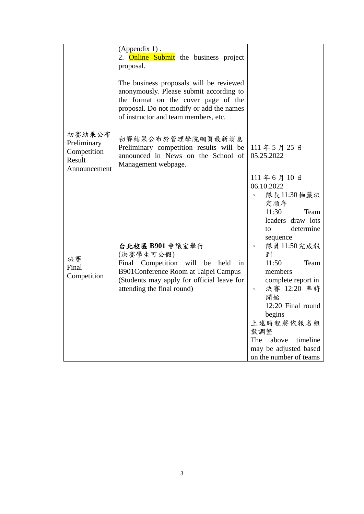|                                                                | $(Appendix 1)$ .<br>2. Online Submit the business project<br>proposal.<br>The business proposals will be reviewed<br>anonymously. Please submit according to<br>the format on the cover page of the<br>proposal. Do not modify or add the names<br>of instructor and team members, etc. |                                                                                                                                                                                                                                                                                                                                                                                  |
|----------------------------------------------------------------|-----------------------------------------------------------------------------------------------------------------------------------------------------------------------------------------------------------------------------------------------------------------------------------------|----------------------------------------------------------------------------------------------------------------------------------------------------------------------------------------------------------------------------------------------------------------------------------------------------------------------------------------------------------------------------------|
| 初賽結果公布<br>Preliminary<br>Competition<br>Result<br>Announcement | 初賽結果公布於管理學院網頁最新消息<br>Preliminary competition results will be<br>announced in News on the School of<br>Management webpage.                                                                                                                                                               | 111年5月25日<br>05.25.2022                                                                                                                                                                                                                                                                                                                                                          |
| 決賽<br>Final<br>Competition                                     | 台北校區 B901 會議室舉行<br>(決賽學生可公假)<br>Final Competition will be<br>held in<br>B901Conference Room at Taipei Campus<br>(Students may apply for official leave for<br>attending the final round)                                                                                                | 111年6月10日<br>06.10.2022<br>隊長11:30抽籤決<br>$\circ$<br>定順序<br>11:30<br>Team<br>leaders draw lots<br>determine<br>to<br>sequence<br>隊員 11:50 完成報<br>$\circ$<br>到<br>11:50<br>Team<br>members<br>complete report in<br>決賽 12:20 準時<br>$\circ$<br>開始<br>12:20 Final round<br>begins<br>上述時程將依報名組<br>數調整<br>The<br>above<br>timeline<br>may be adjusted based<br>on the number of teams |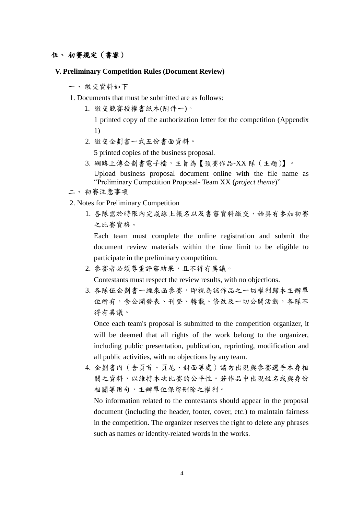### 伍、 初賽規定(書審)

### **V. Preliminary Competition Rules (Document Review)**

- 一、 繳交資料如下
- 1. Documents that must be submitted are as follows:
	- 1. 繳交競賽授權書紙本(附件一)。

1 printed copy of the authorization letter for the competition (Appendix 1)

2. 繳交企劃書一式五份書面資料。

5 printed copies of the business proposal.

- 3. 網路上傳企劃書電子檔,主旨為【預賽作品-XX 隊(主題)】。 Upload business proposal document online with the file name as "Preliminary Competition Proposal- Team XX (*project theme*)"
- 二、 初賽注意事項
- 2. Notes for Preliminary Competition
	- 1. 各隊需於時限內完成線上報名以及書審資料繳交,始具有參加初賽 之比賽資格。

Each team must complete the online registration and submit the document review materials within the time limit to be eligible to participate in the preliminary competition.

2. 參賽者必須尊重評審結果,且不得有異議。

Contestants must respect the review results, with no objections.

3. 各隊伍企劃書一經來函參賽,即視為該作品之一切權利歸本主辦單 位所有,含公開發表、刊登、轉載、修改及一切公開活動,各隊不 得有異議。

Once each team's proposal is submitted to the competition organizer, it will be deemed that all rights of the work belong to the organizer, including public presentation, publication, reprinting, modification and all public activities, with no objections by any team.

4. 企劃書內(含頁首、頁尾、封面等處)請勿出現與參賽選手本身相 關之資料,以維持本次比賽的公平性。若作品中出現姓名或與身份 相關等用句,主辦單位保留刪除之權利。

No information related to the contestants should appear in the proposal document (including the header, footer, cover, etc.) to maintain fairness in the competition. The organizer reserves the right to delete any phrases such as names or identity-related words in the works.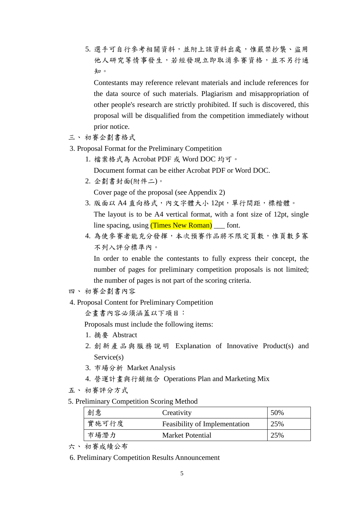5. 選手可自行參考相關資料,並附上該資料出處,惟嚴禁抄襲、盜用 他人研究等情事發生,若經發現立即取消參賽資格,並不另行通 知。

Contestants may reference relevant materials and include references for the data source of such materials. Plagiarism and misappropriation of other people's research are strictly prohibited. If such is discovered, this proposal will be disqualified from the competition immediately without prior notice.

- 三、 初賽企劃書格式
- 3. Proposal Format for the Preliminary Competition
	- 1. 檔案格式為 Acrobat PDF 或 Word DOC 均可。
		- Document format can be either Acrobat PDF or Word DOC.
	- 2. 企劃書封面(附件二)。

Cover page of the proposal (see Appendix 2)

- 3. 版面以 A4 直向格式,內文字體大小 12pt, 單行間距,標楷體。 The layout is to be A4 vertical format, with a font size of 12pt, single line spacing, using (Times New Roman) font.
- 4. 為使參賽者能充分發揮,本次預賽作品將不限定頁數,惟頁數多寡 不列入評分標準內。

In order to enable the contestants to fully express their concept, the number of pages for preliminary competition proposals is not limited; the number of pages is not part of the scoring criteria.

## 四、 初賽企劃書內容

4. Proposal Content for Preliminary Competition

企畫書內容必須涵蓋以下項目:

Proposals must include the following items:

- 1. 摘要 Abstract
- 2. 創新產品與服務說明 Explanation of Innovative Product(s) and Service(s)
- 3. 市場分析 Market Analysis
- 4. 營運計畫與行銷組合 Operations Plan and Marketing Mix
- 五、 初賽評分方式
- 5. Preliminary Competition Scoring Method

| 創意    | Creativity                           | 50% |
|-------|--------------------------------------|-----|
| 實施可行度 | <b>Feasibility of Implementation</b> | 25% |
| 市場潛力  | <b>Market Potential</b>              | 25% |

- 六、 初賽成績公布
- 6. Preliminary Competition Results Announcement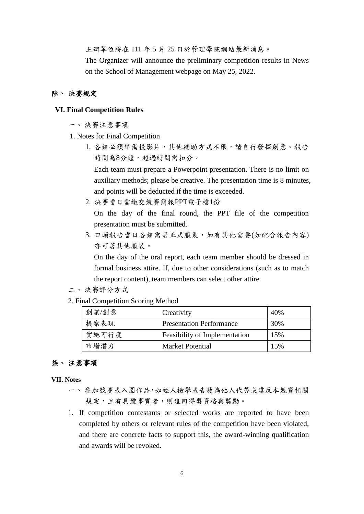主辦單位將在 111 年 5 月 25 日於管理學院網站最新消息。

The Organizer will announce the preliminary competition results in News on the School of Management webpage on May 25, 2022.

### 陸、 決賽規定

#### **VI. Final Competition Rules**

- 一、 決賽注意事項
- 1. Notes for Final Competition
	- 1. 各組必須準備投影片,其他輔助方式不限,請自行發揮創意。報告 時間為8分鐘,超過時間需扣分。

Each team must prepare a Powerpoint presentation. There is no limit on auxiliary methods; please be creative. The presentation time is 8 minutes, and points will be deducted if the time is exceeded.

2. 決賽當日需繳交競賽簡報PPT電子檔1份

On the day of the final round, the PPT file of the competition presentation must be submitted.

3. 口頭報告當日各組需著正式服裝,如有其他需要(如配合報告內容) 亦可著其他服裝。

On the day of the oral report, each team member should be dressed in formal business attire. If, due to other considerations (such as to match the report content), team members can select other attire.

- 二、 決賽評分方式
- 2. Final Competition Scoring Method

| 創業/創意 | Creativity                      | 40% |
|-------|---------------------------------|-----|
| 提案表現  | <b>Presentation Performance</b> | 30% |
| 實施可行度 | Feasibility of Implementation   | 15% |
| 市場潛力  | Market Potential                | 15% |

## 柒、 注意事項

**VII. Notes**

- 一、 參加競賽或入圍作品,如經人檢舉或告發為他人代勞或違反本競賽相關 規定,且有具體事實者,則追回得獎資格與獎勵。
- 1. If competition contestants or selected works are reported to have been completed by others or relevant rules of the competition have been violated, and there are concrete facts to support this, the award-winning qualification and awards will be revoked.